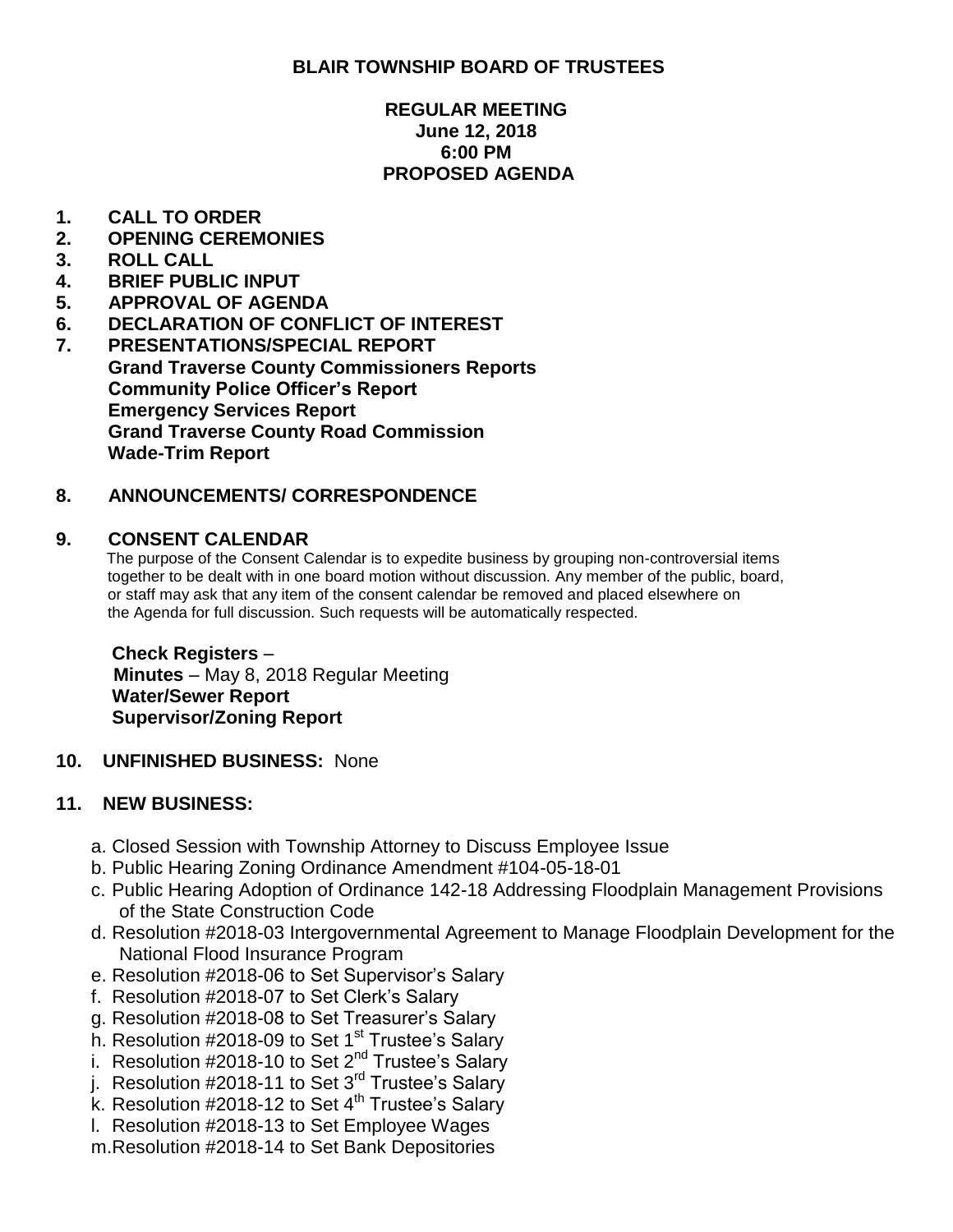## **BLAIR TOWNSHIP BOARD OF TRUSTEES**

## **REGULAR MEETING June 12, 2018 6:00 PM PROPOSED AGENDA**

## **1. CALL TO ORDER**

- **2. OPENING CEREMONIES**
- **3. ROLL CALL**
- **4. BRIEF PUBLIC INPUT**
- **5. APPROVAL OF AGENDA**
- **6. DECLARATION OF CONFLICT OF INTEREST**
- **7. PRESENTATIONS/SPECIAL REPORT Grand Traverse County Commissioners Reports Community Police Officer's Report Emergency Services Report Grand Traverse County Road Commission Wade-Trim Report**

## **8. ANNOUNCEMENTS/ CORRESPONDENCE**

#### **9. CONSENT CALENDAR**

 The purpose of the Consent Calendar is to expedite business by grouping non-controversial items together to be dealt with in one board motion without discussion. Any member of the public, board, or staff may ask that any item of the consent calendar be removed and placed elsewhere on the Agenda for full discussion. Such requests will be automatically respected.

#### **Check Registers** – **Minutes** – May 8, 2018 Regular Meeting **Water/Sewer Report Supervisor/Zoning Report**

**10. UNFINISHED BUSINESS:** None

## **11. NEW BUSINESS:**

- a. Closed Session with Township Attorney to Discuss Employee Issue
- b. Public Hearing Zoning Ordinance Amendment #104-05-18-01
- c. Public Hearing Adoption of Ordinance 142-18 Addressing Floodplain Management Provisions of the State Construction Code
- d. Resolution #2018-03 Intergovernmental Agreement to Manage Floodplain Development for the National Flood Insurance Program
- e. Resolution #2018-06 to Set Supervisor's Salary
- f. Resolution #2018-07 to Set Clerk's Salary
- g. Resolution #2018-08 to Set Treasurer's Salary
- h. Resolution #2018-09 to Set 1<sup>st</sup> Trustee's Salary
- i. Resolution #2018-10 to Set 2<sup>nd</sup> Trustee's Salary
- j. Resolution #2018-11 to Set 3<sup>rd</sup> Trustee's Salary
- $k$ . Resolution #2018-12 to Set 4<sup>th</sup> Trustee's Salary
- l. Resolution #2018-13 to Set Employee Wages
- m.Resolution #2018-14 to Set Bank Depositories